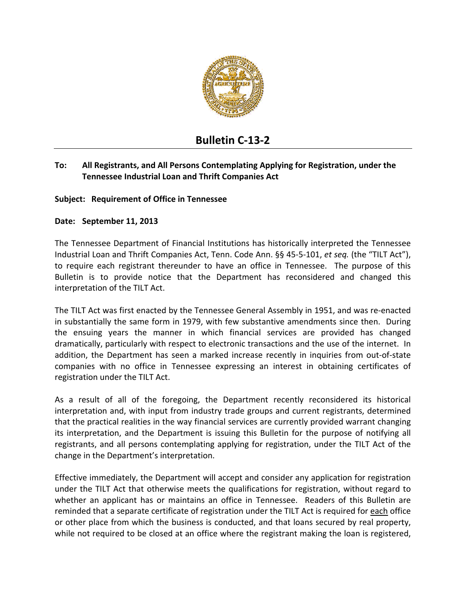

# **Bulletin C‐13‐2**

## **To: All Registrants, and All Persons Contemplating Applying for Registration, under the Tennessee Industrial Loan and Thrift Companies Act**

### **Subject: Requirement of Office in Tennessee**

#### **Date: September 11, 2013**

The Tennessee Department of Financial Institutions has historically interpreted the Tennessee Industrial Loan and Thrift Companies Act, Tenn. Code Ann. §§ 45‐5‐101, *et seq.* (the "TILT Act"), to require each registrant thereunder to have an office in Tennessee. The purpose of this Bulletin is to provide notice that the Department has reconsidered and changed this interpretation of the TILT Act.

The TILT Act was first enacted by the Tennessee General Assembly in 1951, and was re‐enacted in substantially the same form in 1979, with few substantive amendments since then. During the ensuing years the manner in which financial services are provided has changed dramatically, particularly with respect to electronic transactions and the use of the internet. In addition, the Department has seen a marked increase recently in inquiries from out‐of‐state companies with no office in Tennessee expressing an interest in obtaining certificates of registration under the TILT Act.

As a result of all of the foregoing, the Department recently reconsidered its historical interpretation and, with input from industry trade groups and current registrants, determined that the practical realities in the way financial services are currently provided warrant changing its interpretation, and the Department is issuing this Bulletin for the purpose of notifying all registrants, and all persons contemplating applying for registration, under the TILT Act of the change in the Department's interpretation.

Effective immediately, the Department will accept and consider any application for registration under the TILT Act that otherwise meets the qualifications for registration, without regard to whether an applicant has or maintains an office in Tennessee. Readers of this Bulletin are reminded that a separate certificate of registration under the TILT Act is required for each office or other place from which the business is conducted, and that loans secured by real property, while not required to be closed at an office where the registrant making the loan is registered,